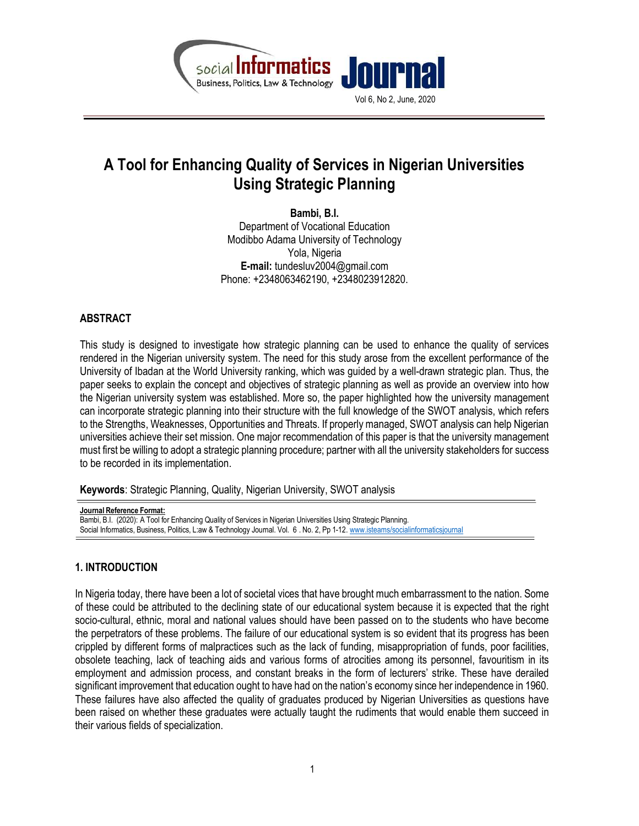



# A Tool for Enhancing Quality of Services in Nigerian Universities Using Strategic Planning

Bambi, B.I. Department of Vocational Education Modibbo Adama University of Technology Yola, Nigeria E-mail: tundesluv2004@gmail.com Phone: +2348063462190, +2348023912820.

## ABSTRACT

This study is designed to investigate how strategic planning can be used to enhance the quality of services rendered in the Nigerian university system. The need for this study arose from the excellent performance of the University of Ibadan at the World University ranking, which was guided by a well-drawn strategic plan. Thus, the paper seeks to explain the concept and objectives of strategic planning as well as provide an overview into how the Nigerian university system was established. More so, the paper highlighted how the university management can incorporate strategic planning into their structure with the full knowledge of the SWOT analysis, which refers to the Strengths, Weaknesses, Opportunities and Threats. If properly managed, SWOT analysis can help Nigerian universities achieve their set mission. One major recommendation of this paper is that the university management must first be willing to adopt a strategic planning procedure; partner with all the university stakeholders for success to be recorded in its implementation.

Keywords: Strategic Planning, Quality, Nigerian University, SWOT analysis

Journal Reference Format: Bambi, B.I. (2020): A Tool for Enhancing Quality of Services in Nigerian Universities Using Strategic Planning. Social Informatics, Business, Politics, L:aw & Technology Journal. Vol. 6 . No. 2, Pp 1-12. www.isteams/socialinformaticsjournal

# 1. INTRODUCTION

In Nigeria today, there have been a lot of societal vices that have brought much embarrassment to the nation. Some of these could be attributed to the declining state of our educational system because it is expected that the right socio-cultural, ethnic, moral and national values should have been passed on to the students who have become the perpetrators of these problems. The failure of our educational system is so evident that its progress has been crippled by different forms of malpractices such as the lack of funding, misappropriation of funds, poor facilities, obsolete teaching, lack of teaching aids and various forms of atrocities among its personnel, favouritism in its employment and admission process, and constant breaks in the form of lecturers' strike. These have derailed significant improvement that education ought to have had on the nation's economy since her independence in 1960. These failures have also affected the quality of graduates produced by Nigerian Universities as questions have been raised on whether these graduates were actually taught the rudiments that would enable them succeed in their various fields of specialization.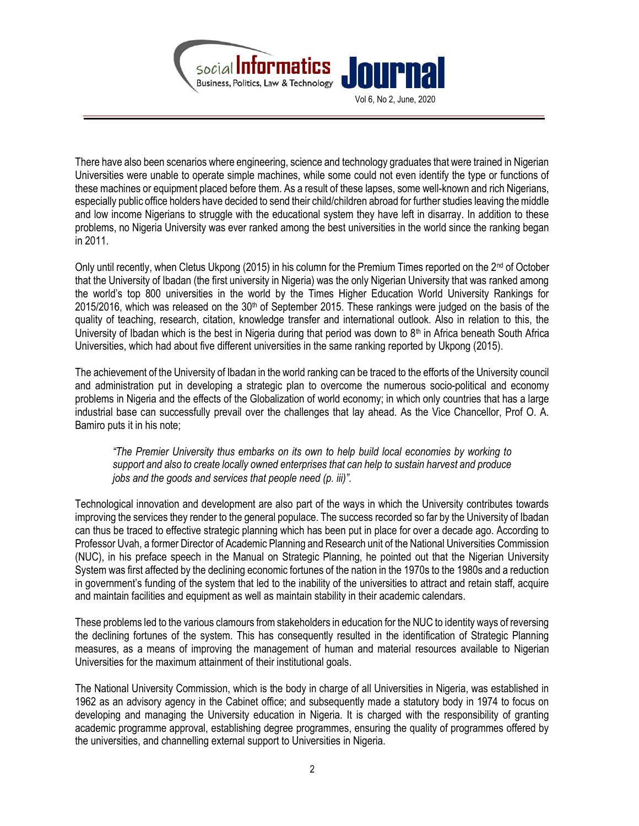

Vol 6, No 2, June, 2020

There have also been scenarios where engineering, science and technology graduates that were trained in Nigerian Universities were unable to operate simple machines, while some could not even identify the type or functions of these machines or equipment placed before them. As a result of these lapses, some well-known and rich Nigerians, especially public office holders have decided to send their child/children abroad for further studies leaving the middle and low income Nigerians to struggle with the educational system they have left in disarray. In addition to these problems, no Nigeria University was ever ranked among the best universities in the world since the ranking began in 2011.

Only until recently, when Cletus Ukpong (2015) in his column for the Premium Times reported on the 2nd of October that the University of Ibadan (the first university in Nigeria) was the only Nigerian University that was ranked among the world's top 800 universities in the world by the Times Higher Education World University Rankings for  $2015/2016$ , which was released on the  $30<sup>th</sup>$  of September 2015. These rankings were judged on the basis of the quality of teaching, research, citation, knowledge transfer and international outlook. Also in relation to this, the University of Ibadan which is the best in Nigeria during that period was down to  $8<sup>th</sup>$  in Africa beneath South Africa Universities, which had about five different universities in the same ranking reported by Ukpong (2015).

The achievement of the University of Ibadan in the world ranking can be traced to the efforts of the University council and administration put in developing a strategic plan to overcome the numerous socio-political and economy problems in Nigeria and the effects of the Globalization of world economy; in which only countries that has a large industrial base can successfully prevail over the challenges that lay ahead. As the Vice Chancellor, Prof O. A. Bamiro puts it in his note;

"The Premier University thus embarks on its own to help build local economies by working to support and also to create locally owned enterprises that can help to sustain harvest and produce jobs and the goods and services that people need (p. iii)".

Technological innovation and development are also part of the ways in which the University contributes towards improving the services they render to the general populace. The success recorded so far by the University of Ibadan can thus be traced to effective strategic planning which has been put in place for over a decade ago. According to Professor Uvah, a former Director of Academic Planning and Research unit of the National Universities Commission (NUC), in his preface speech in the Manual on Strategic Planning, he pointed out that the Nigerian University System was first affected by the declining economic fortunes of the nation in the 1970s to the 1980s and a reduction in government's funding of the system that led to the inability of the universities to attract and retain staff, acquire and maintain facilities and equipment as well as maintain stability in their academic calendars.

These problems led to the various clamours from stakeholders in education for the NUC to identity ways of reversing the declining fortunes of the system. This has consequently resulted in the identification of Strategic Planning measures, as a means of improving the management of human and material resources available to Nigerian Universities for the maximum attainment of their institutional goals.

The National University Commission, which is the body in charge of all Universities in Nigeria, was established in 1962 as an advisory agency in the Cabinet office; and subsequently made a statutory body in 1974 to focus on developing and managing the University education in Nigeria. It is charged with the responsibility of granting academic programme approval, establishing degree programmes, ensuring the quality of programmes offered by the universities, and channelling external support to Universities in Nigeria.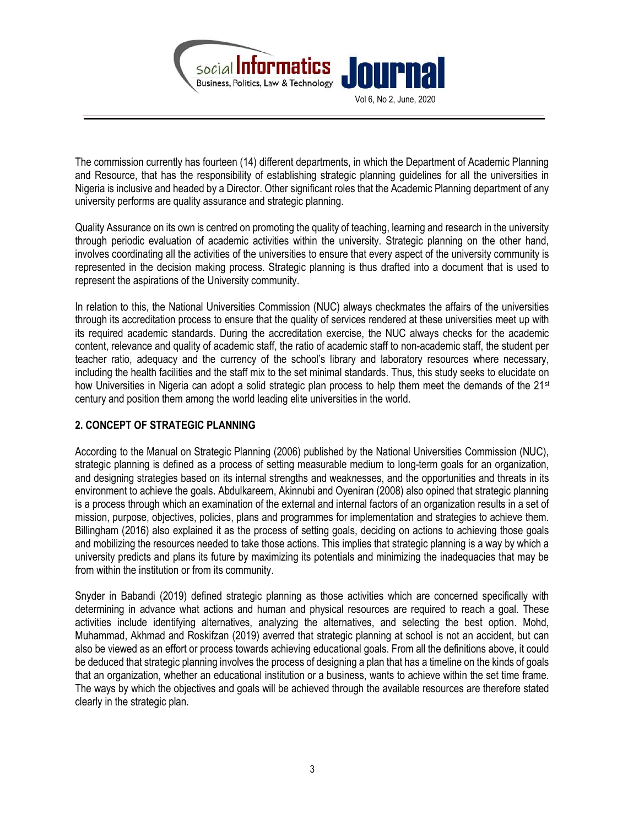

The commission currently has fourteen (14) different departments, in which the Department of Academic Planning and Resource, that has the responsibility of establishing strategic planning guidelines for all the universities in Nigeria is inclusive and headed by a Director. Other significant roles that the Academic Planning department of any university performs are quality assurance and strategic planning.

Quality Assurance on its own is centred on promoting the quality of teaching, learning and research in the university through periodic evaluation of academic activities within the university. Strategic planning on the other hand, involves coordinating all the activities of the universities to ensure that every aspect of the university community is represented in the decision making process. Strategic planning is thus drafted into a document that is used to represent the aspirations of the University community.

In relation to this, the National Universities Commission (NUC) always checkmates the affairs of the universities through its accreditation process to ensure that the quality of services rendered at these universities meet up with its required academic standards. During the accreditation exercise, the NUC always checks for the academic content, relevance and quality of academic staff, the ratio of academic staff to non-academic staff, the student per teacher ratio, adequacy and the currency of the school's library and laboratory resources where necessary, including the health facilities and the staff mix to the set minimal standards. Thus, this study seeks to elucidate on how Universities in Nigeria can adopt a solid strategic plan process to help them meet the demands of the 21<sup>st</sup> century and position them among the world leading elite universities in the world.

## 2. CONCEPT OF STRATEGIC PLANNING

According to the Manual on Strategic Planning (2006) published by the National Universities Commission (NUC), strategic planning is defined as a process of setting measurable medium to long-term goals for an organization, and designing strategies based on its internal strengths and weaknesses, and the opportunities and threats in its environment to achieve the goals. Abdulkareem, Akinnubi and Oyeniran (2008) also opined that strategic planning is a process through which an examination of the external and internal factors of an organization results in a set of mission, purpose, objectives, policies, plans and programmes for implementation and strategies to achieve them. Billingham (2016) also explained it as the process of setting goals, deciding on actions to achieving those goals and mobilizing the resources needed to take those actions. This implies that strategic planning is a way by which a university predicts and plans its future by maximizing its potentials and minimizing the inadequacies that may be from within the institution or from its community.

Snyder in Babandi (2019) defined strategic planning as those activities which are concerned specifically with determining in advance what actions and human and physical resources are required to reach a goal. These activities include identifying alternatives, analyzing the alternatives, and selecting the best option. Mohd, Muhammad, Akhmad and Roskifzan (2019) averred that strategic planning at school is not an accident, but can also be viewed as an effort or process towards achieving educational goals. From all the definitions above, it could be deduced that strategic planning involves the process of designing a plan that has a timeline on the kinds of goals that an organization, whether an educational institution or a business, wants to achieve within the set time frame. The ways by which the objectives and goals will be achieved through the available resources are therefore stated clearly in the strategic plan.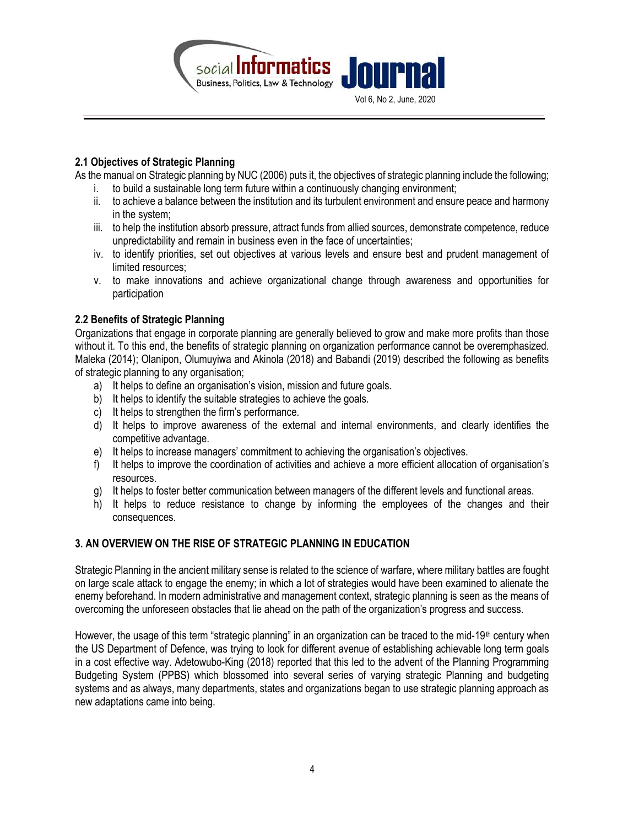

#### 2.1 Objectives of Strategic Planning

As the manual on Strategic planning by NUC (2006) puts it, the objectives of strategic planning include the following;

- i. to build a sustainable long term future within a continuously changing environment;
- ii. to achieve a balance between the institution and its turbulent environment and ensure peace and harmony in the system;
- iii. to help the institution absorb pressure, attract funds from allied sources, demonstrate competence, reduce unpredictability and remain in business even in the face of uncertainties;
- iv. to identify priorities, set out objectives at various levels and ensure best and prudent management of limited resources;
- v. to make innovations and achieve organizational change through awareness and opportunities for participation

## 2.2 Benefits of Strategic Planning

Organizations that engage in corporate planning are generally believed to grow and make more profits than those without it. To this end, the benefits of strategic planning on organization performance cannot be overemphasized. Maleka (2014); Olanipon, Olumuyiwa and Akinola (2018) and Babandi (2019) described the following as benefits of strategic planning to any organisation;

- a) It helps to define an organisation's vision, mission and future goals.
- b) It helps to identify the suitable strategies to achieve the goals.
- c) It helps to strengthen the firm's performance.
- d) It helps to improve awareness of the external and internal environments, and clearly identifies the competitive advantage.
- e) It helps to increase managers' commitment to achieving the organisation's objectives.
- f) It helps to improve the coordination of activities and achieve a more efficient allocation of organisation's resources.
- g) It helps to foster better communication between managers of the different levels and functional areas.
- h) It helps to reduce resistance to change by informing the employees of the changes and their consequences.

## 3. AN OVERVIEW ON THE RISE OF STRATEGIC PLANNING IN EDUCATION

Strategic Planning in the ancient military sense is related to the science of warfare, where military battles are fought on large scale attack to engage the enemy; in which a lot of strategies would have been examined to alienate the enemy beforehand. In modern administrative and management context, strategic planning is seen as the means of overcoming the unforeseen obstacles that lie ahead on the path of the organization's progress and success.

However, the usage of this term "strategic planning" in an organization can be traced to the mid-19<sup>th</sup> century when the US Department of Defence, was trying to look for different avenue of establishing achievable long term goals in a cost effective way. Adetowubo-King (2018) reported that this led to the advent of the Planning Programming Budgeting System (PPBS) which blossomed into several series of varying strategic Planning and budgeting systems and as always, many departments, states and organizations began to use strategic planning approach as new adaptations came into being.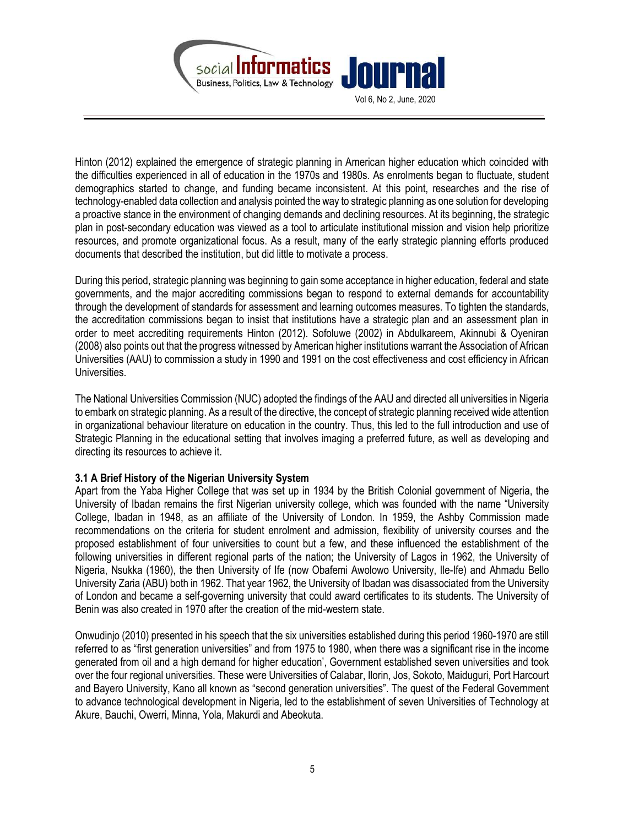

Hinton (2012) explained the emergence of strategic planning in American higher education which coincided with the difficulties experienced in all of education in the 1970s and 1980s. As enrolments began to fluctuate, student demographics started to change, and funding became inconsistent. At this point, researches and the rise of technology-enabled data collection and analysis pointed the way to strategic planning as one solution for developing a proactive stance in the environment of changing demands and declining resources. At its beginning, the strategic plan in post-secondary education was viewed as a tool to articulate institutional mission and vision help prioritize resources, and promote organizational focus. As a result, many of the early strategic planning efforts produced documents that described the institution, but did little to motivate a process.

During this period, strategic planning was beginning to gain some acceptance in higher education, federal and state governments, and the major accrediting commissions began to respond to external demands for accountability through the development of standards for assessment and learning outcomes measures. To tighten the standards, the accreditation commissions began to insist that institutions have a strategic plan and an assessment plan in order to meet accrediting requirements Hinton (2012). Sofoluwe (2002) in Abdulkareem, Akinnubi & Oyeniran (2008) also points out that the progress witnessed by American higher institutions warrant the Association of African Universities (AAU) to commission a study in 1990 and 1991 on the cost effectiveness and cost efficiency in African Universities.

The National Universities Commission (NUC) adopted the findings of the AAU and directed all universities in Nigeria to embark on strategic planning. As a result of the directive, the concept of strategic planning received wide attention in organizational behaviour literature on education in the country. Thus, this led to the full introduction and use of Strategic Planning in the educational setting that involves imaging a preferred future, as well as developing and directing its resources to achieve it.

#### 3.1 A Brief History of the Nigerian University System

Apart from the Yaba Higher College that was set up in 1934 by the British Colonial government of Nigeria, the University of Ibadan remains the first Nigerian university college, which was founded with the name "University College, Ibadan in 1948, as an affiliate of the University of London. In 1959, the Ashby Commission made recommendations on the criteria for student enrolment and admission, flexibility of university courses and the proposed establishment of four universities to count but a few, and these influenced the establishment of the following universities in different regional parts of the nation; the University of Lagos in 1962, the University of Nigeria, Nsukka (1960), the then University of Ife (now Obafemi Awolowo University, Ile-Ife) and Ahmadu Bello University Zaria (ABU) both in 1962. That year 1962, the University of Ibadan was disassociated from the University of London and became a self-governing university that could award certificates to its students. The University of Benin was also created in 1970 after the creation of the mid-western state.

Onwudinjo (2010) presented in his speech that the six universities established during this period 1960-1970 are still referred to as "first generation universities" and from 1975 to 1980, when there was a significant rise in the income generated from oil and a high demand for higher education', Government established seven universities and took over the four regional universities. These were Universities of Calabar, Ilorin, Jos, Sokoto, Maiduguri, Port Harcourt and Bayero University, Kano all known as "second generation universities". The quest of the Federal Government to advance technological development in Nigeria, led to the establishment of seven Universities of Technology at Akure, Bauchi, Owerri, Minna, Yola, Makurdi and Abeokuta.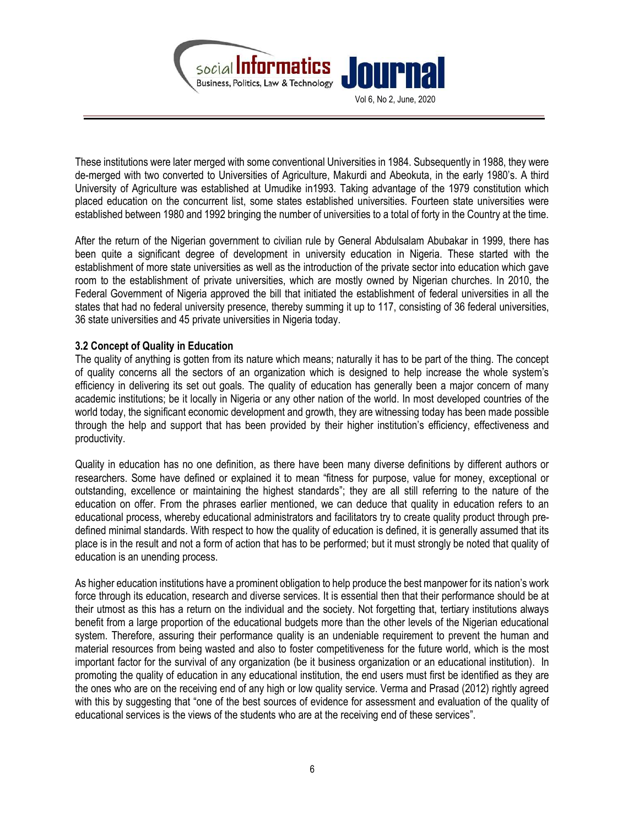

These institutions were later merged with some conventional Universities in 1984. Subsequently in 1988, they were de-merged with two converted to Universities of Agriculture, Makurdi and Abeokuta, in the early 1980's. A third University of Agriculture was established at Umudike in1993. Taking advantage of the 1979 constitution which placed education on the concurrent list, some states established universities. Fourteen state universities were established between 1980 and 1992 bringing the number of universities to a total of forty in the Country at the time.

After the return of the Nigerian government to civilian rule by General Abdulsalam Abubakar in 1999, there has been quite a significant degree of development in university education in Nigeria. These started with the establishment of more state universities as well as the introduction of the private sector into education which gave room to the establishment of private universities, which are mostly owned by Nigerian churches. In 2010, the Federal Government of Nigeria approved the bill that initiated the establishment of federal universities in all the states that had no federal university presence, thereby summing it up to 117, consisting of 36 federal universities, 36 state universities and 45 private universities in Nigeria today.

#### 3.2 Concept of Quality in Education

The quality of anything is gotten from its nature which means; naturally it has to be part of the thing. The concept of quality concerns all the sectors of an organization which is designed to help increase the whole system's efficiency in delivering its set out goals. The quality of education has generally been a major concern of many academic institutions; be it locally in Nigeria or any other nation of the world. In most developed countries of the world today, the significant economic development and growth, they are witnessing today has been made possible through the help and support that has been provided by their higher institution's efficiency, effectiveness and productivity.

Quality in education has no one definition, as there have been many diverse definitions by different authors or researchers. Some have defined or explained it to mean "fitness for purpose, value for money, exceptional or outstanding, excellence or maintaining the highest standards"; they are all still referring to the nature of the education on offer. From the phrases earlier mentioned, we can deduce that quality in education refers to an educational process, whereby educational administrators and facilitators try to create quality product through predefined minimal standards. With respect to how the quality of education is defined, it is generally assumed that its place is in the result and not a form of action that has to be performed; but it must strongly be noted that quality of education is an unending process.

As higher education institutions have a prominent obligation to help produce the best manpower for its nation's work force through its education, research and diverse services. It is essential then that their performance should be at their utmost as this has a return on the individual and the society. Not forgetting that, tertiary institutions always benefit from a large proportion of the educational budgets more than the other levels of the Nigerian educational system. Therefore, assuring their performance quality is an undeniable requirement to prevent the human and material resources from being wasted and also to foster competitiveness for the future world, which is the most important factor for the survival of any organization (be it business organization or an educational institution). In promoting the quality of education in any educational institution, the end users must first be identified as they are the ones who are on the receiving end of any high or low quality service. Verma and Prasad (2012) rightly agreed with this by suggesting that "one of the best sources of evidence for assessment and evaluation of the quality of educational services is the views of the students who are at the receiving end of these services".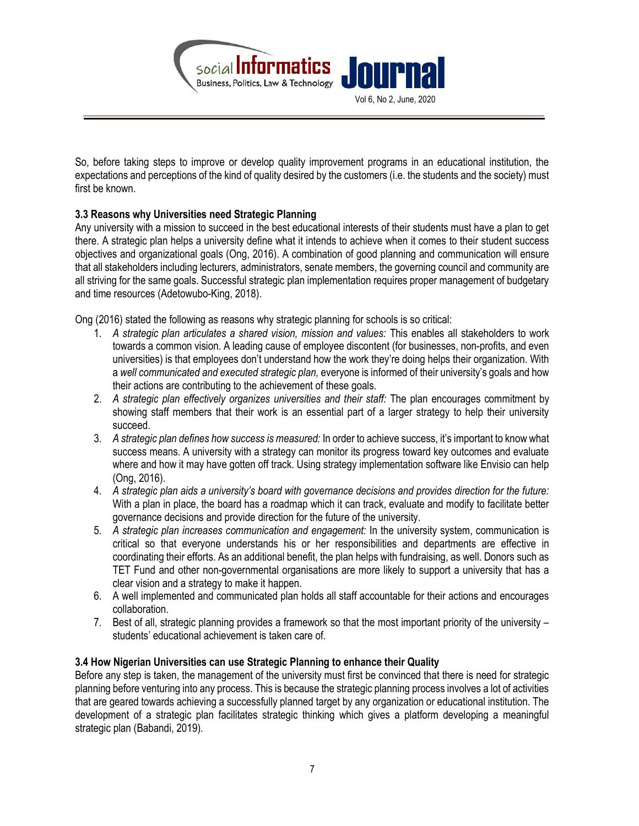

So, before taking steps to improve or develop quality improvement programs in an educational institution, the expectations and perceptions of the kind of quality desired by the customers (i.e. the students and the society) must first be known.

## 3.3 Reasons why Universities need Strategic Planning

Any university with a mission to succeed in the best educational interests of their students must have a plan to get there. A strategic plan helps a university define what it intends to achieve when it comes to their student success objectives and organizational goals (Ong, 2016). A combination of good planning and communication will ensure that all stakeholders including lecturers, administrators, senate members, the governing council and community are all striving for the same goals. Successful strategic plan implementation requires proper management of budgetary and time resources (Adetowubo-King, 2018).

Ong (2016) stated the following as reasons why strategic planning for schools is so critical:

- 1. A strategic plan articulates a shared vision, mission and values: This enables all stakeholders to work towards a common vision. A leading cause of employee discontent (for businesses, non-profits, and even universities) is that employees don't understand how the work they're doing helps their organization. With a well communicated and executed strategic plan, everyone is informed of their university's goals and how their actions are contributing to the achievement of these goals.
- 2. A strategic plan effectively organizes universities and their staff: The plan encourages commitment by showing staff members that their work is an essential part of a larger strategy to help their university succeed.
- 3. A strategic plan defines how success is measured: In order to achieve success, it's important to know what success means. A university with a strategy can monitor its progress toward key outcomes and evaluate where and how it may have gotten off track. Using strategy implementation software like Envisio can help (Ong, 2016).
- 4. A strategic plan aids a university's board with governance decisions and provides direction for the future: With a plan in place, the board has a roadmap which it can track, evaluate and modify to facilitate better governance decisions and provide direction for the future of the university.
- 5. A strategic plan increases communication and engagement: In the university system, communication is critical so that everyone understands his or her responsibilities and departments are effective in coordinating their efforts. As an additional benefit, the plan helps with fundraising, as well. Donors such as TET Fund and other non-governmental organisations are more likely to support a university that has a clear vision and a strategy to make it happen.
- 6. A well implemented and communicated plan holds all staff accountable for their actions and encourages collaboration.
- 7. Best of all, strategic planning provides a framework so that the most important priority of the university students' educational achievement is taken care of.

## 3.4 How Nigerian Universities can use Strategic Planning to enhance their Quality

Before any step is taken, the management of the university must first be convinced that there is need for strategic planning before venturing into any process. This is because the strategic planning process involves a lot of activities that are geared towards achieving a successfully planned target by any organization or educational institution. The development of a strategic plan facilitates strategic thinking which gives a platform developing a meaningful strategic plan (Babandi, 2019).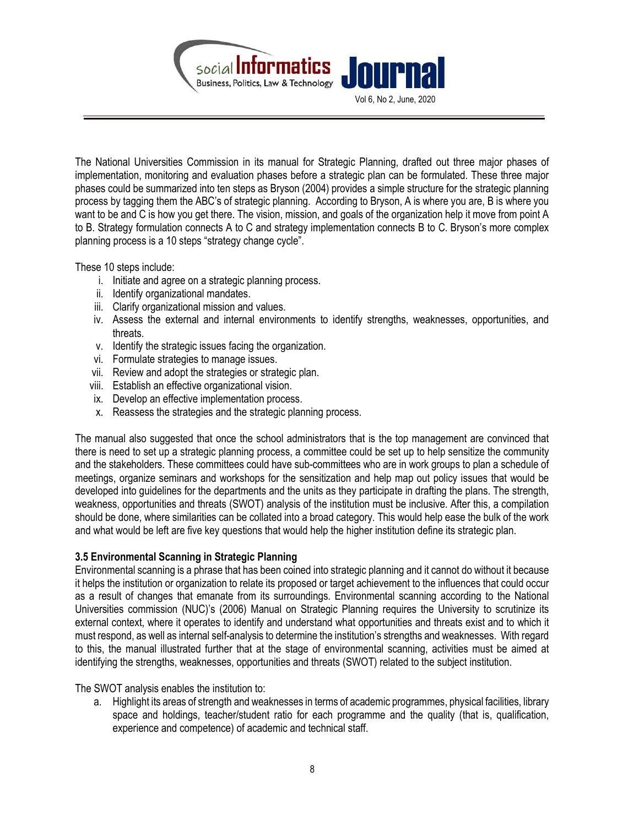

The National Universities Commission in its manual for Strategic Planning, drafted out three major phases of implementation, monitoring and evaluation phases before a strategic plan can be formulated. These three major phases could be summarized into ten steps as Bryson (2004) provides a simple structure for the strategic planning process by tagging them the ABC's of strategic planning. According to Bryson, A is where you are, B is where you want to be and C is how you get there. The vision, mission, and goals of the organization help it move from point A to B. Strategy formulation connects A to C and strategy implementation connects B to C. Bryson's more complex planning process is a 10 steps "strategy change cycle".

These 10 steps include:

- i. Initiate and agree on a strategic planning process.
- ii. Identify organizational mandates.
- iii. Clarify organizational mission and values.
- iv. Assess the external and internal environments to identify strengths, weaknesses, opportunities, and threats.
- v. Identify the strategic issues facing the organization.
- vi. Formulate strategies to manage issues.
- vii. Review and adopt the strategies or strategic plan.
- viii. Establish an effective organizational vision.
- ix. Develop an effective implementation process.
- x. Reassess the strategies and the strategic planning process.

The manual also suggested that once the school administrators that is the top management are convinced that there is need to set up a strategic planning process, a committee could be set up to help sensitize the community and the stakeholders. These committees could have sub-committees who are in work groups to plan a schedule of meetings, organize seminars and workshops for the sensitization and help map out policy issues that would be developed into guidelines for the departments and the units as they participate in drafting the plans. The strength, weakness, opportunities and threats (SWOT) analysis of the institution must be inclusive. After this, a compilation should be done, where similarities can be collated into a broad category. This would help ease the bulk of the work and what would be left are five key questions that would help the higher institution define its strategic plan.

## 3.5 Environmental Scanning in Strategic Planning

Environmental scanning is a phrase that has been coined into strategic planning and it cannot do without it because it helps the institution or organization to relate its proposed or target achievement to the influences that could occur as a result of changes that emanate from its surroundings. Environmental scanning according to the National Universities commission (NUC)'s (2006) Manual on Strategic Planning requires the University to scrutinize its external context, where it operates to identify and understand what opportunities and threats exist and to which it must respond, as well as internal self-analysis to determine the institution's strengths and weaknesses. With regard to this, the manual illustrated further that at the stage of environmental scanning, activities must be aimed at identifying the strengths, weaknesses, opportunities and threats (SWOT) related to the subject institution.

The SWOT analysis enables the institution to:

a. Highlight its areas of strength and weaknesses in terms of academic programmes, physical facilities, library space and holdings, teacher/student ratio for each programme and the quality (that is, qualification, experience and competence) of academic and technical staff.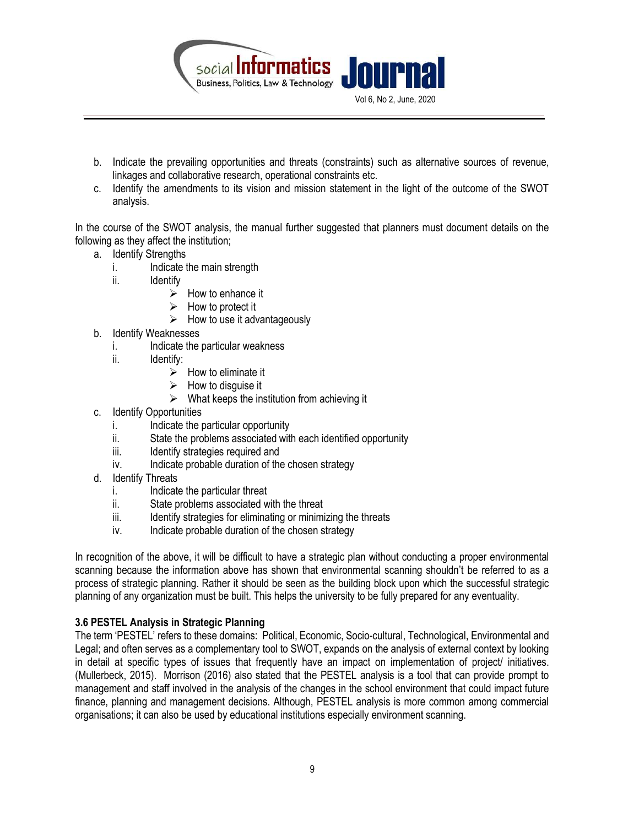

- b. Indicate the prevailing opportunities and threats (constraints) such as alternative sources of revenue, linkages and collaborative research, operational constraints etc.
- c. Identify the amendments to its vision and mission statement in the light of the outcome of the SWOT analysis.

In the course of the SWOT analysis, the manual further suggested that planners must document details on the following as they affect the institution;

- a. Identify Strengths
	- i. Indicate the main strength
	- ii. Identify
		- $\triangleright$  How to enhance it
		- $\triangleright$  How to protect it
			- $\triangleright$  How to use it advantageously
- b. Identify Weaknesses
	- i. Indicate the particular weakness
	- ii. Identify:
		- $\triangleright$  How to eliminate it
		- $\triangleright$  How to disquise it
		- $\triangleright$  What keeps the institution from achieving it
- c. Identify Opportunities
	- i. Indicate the particular opportunity
	- ii. State the problems associated with each identified opportunity
	- iii. Identify strategies required and
	- iv. Indicate probable duration of the chosen strategy
- d. Identify Threats
	- i. Indicate the particular threat
	- ii. State problems associated with the threat
	- iii. Identify strategies for eliminating or minimizing the threats
	- iv. Indicate probable duration of the chosen strategy

In recognition of the above, it will be difficult to have a strategic plan without conducting a proper environmental scanning because the information above has shown that environmental scanning shouldn't be referred to as a process of strategic planning. Rather it should be seen as the building block upon which the successful strategic planning of any organization must be built. This helps the university to be fully prepared for any eventuality.

## 3.6 PESTEL Analysis in Strategic Planning

The term 'PESTEL' refers to these domains: Political, Economic, Socio-cultural, Technological, Environmental and Legal; and often serves as a complementary tool to SWOT, expands on the analysis of external context by looking in detail at specific types of issues that frequently have an impact on implementation of project/ initiatives. (Mullerbeck, 2015). Morrison (2016) also stated that the PESTEL analysis is a tool that can provide prompt to management and staff involved in the analysis of the changes in the school environment that could impact future finance, planning and management decisions. Although, PESTEL analysis is more common among commercial organisations; it can also be used by educational institutions especially environment scanning.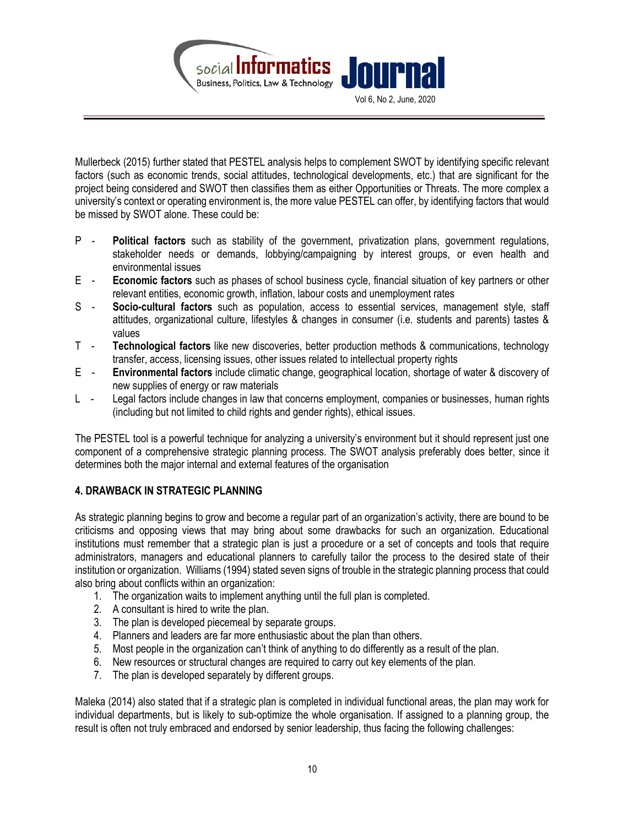

Mullerbeck (2015) further stated that PESTEL analysis helps to complement SWOT by identifying specific relevant factors (such as economic trends, social attitudes, technological developments, etc.) that are significant for the project being considered and SWOT then classifies them as either Opportunities or Threats. The more complex a university's context or operating environment is, the more value PESTEL can offer, by identifying factors that would be missed by SWOT alone. These could be:

- P Political factors such as stability of the government, privatization plans, government regulations, stakeholder needs or demands, lobbying/campaigning by interest groups, or even health and environmental issues
- E Economic factors such as phases of school business cycle, financial situation of key partners or other relevant entities, economic growth, inflation, labour costs and unemployment rates
- S Socio-cultural factors such as population, access to essential services, management style, staff attitudes, organizational culture, lifestyles & changes in consumer (i.e. students and parents) tastes & values
- T Technological factors like new discoveries, better production methods & communications, technology transfer, access, licensing issues, other issues related to intellectual property rights
- E Environmental factors include climatic change, geographical location, shortage of water & discovery of new supplies of energy or raw materials
- L Legal factors include changes in law that concerns employment, companies or businesses, human rights (including but not limited to child rights and gender rights), ethical issues.

The PESTEL tool is a powerful technique for analyzing a university's environment but it should represent just one component of a comprehensive strategic planning process. The SWOT analysis preferably does better, since it determines both the major internal and external features of the organisation

# 4. DRAWBACK IN STRATEGIC PLANNING

As strategic planning begins to grow and become a regular part of an organization's activity, there are bound to be criticisms and opposing views that may bring about some drawbacks for such an organization. Educational institutions must remember that a strategic plan is just a procedure or a set of concepts and tools that require administrators, managers and educational planners to carefully tailor the process to the desired state of their institution or organization. Williams (1994) stated seven signs of trouble in the strategic planning process that could also bring about conflicts within an organization:

- 1. The organization waits to implement anything until the full plan is completed.
- 2. A consultant is hired to write the plan.
- 3. The plan is developed piecemeal by separate groups.
- 4. Planners and leaders are far more enthusiastic about the plan than others.
- 5. Most people in the organization can't think of anything to do differently as a result of the plan.
- 6. New resources or structural changes are required to carry out key elements of the plan.
- 7. The plan is developed separately by different groups.

Maleka (2014) also stated that if a strategic plan is completed in individual functional areas, the plan may work for individual departments, but is likely to sub-optimize the whole organisation. If assigned to a planning group, the result is often not truly embraced and endorsed by senior leadership, thus facing the following challenges: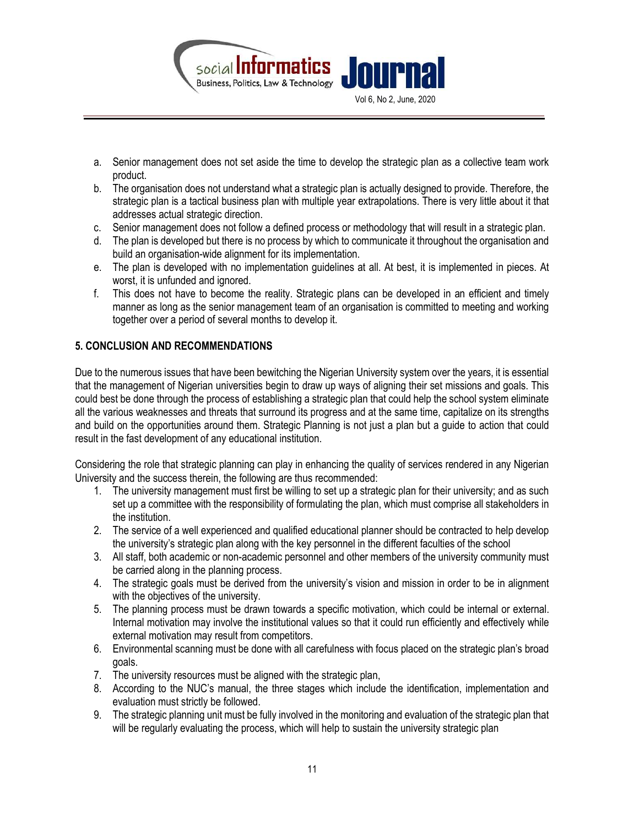

- a. Senior management does not set aside the time to develop the strategic plan as a collective team work product.
- b. The organisation does not understand what a strategic plan is actually designed to provide. Therefore, the strategic plan is a tactical business plan with multiple year extrapolations. There is very little about it that addresses actual strategic direction.
- c. Senior management does not follow a defined process or methodology that will result in a strategic plan.
- d. The plan is developed but there is no process by which to communicate it throughout the organisation and build an organisation-wide alignment for its implementation.
- e. The plan is developed with no implementation guidelines at all. At best, it is implemented in pieces. At worst, it is unfunded and ignored.
- f. This does not have to become the reality. Strategic plans can be developed in an efficient and timely manner as long as the senior management team of an organisation is committed to meeting and working together over a period of several months to develop it.

## 5. CONCLUSION AND RECOMMENDATIONS

Due to the numerous issues that have been bewitching the Nigerian University system over the years, it is essential that the management of Nigerian universities begin to draw up ways of aligning their set missions and goals. This could best be done through the process of establishing a strategic plan that could help the school system eliminate all the various weaknesses and threats that surround its progress and at the same time, capitalize on its strengths and build on the opportunities around them. Strategic Planning is not just a plan but a guide to action that could result in the fast development of any educational institution.

Considering the role that strategic planning can play in enhancing the quality of services rendered in any Nigerian University and the success therein, the following are thus recommended:

- 1. The university management must first be willing to set up a strategic plan for their university; and as such set up a committee with the responsibility of formulating the plan, which must comprise all stakeholders in the institution.
- 2. The service of a well experienced and qualified educational planner should be contracted to help develop the university's strategic plan along with the key personnel in the different faculties of the school
- 3. All staff, both academic or non-academic personnel and other members of the university community must be carried along in the planning process.
- 4. The strategic goals must be derived from the university's vision and mission in order to be in alignment with the objectives of the university.
- 5. The planning process must be drawn towards a specific motivation, which could be internal or external. Internal motivation may involve the institutional values so that it could run efficiently and effectively while external motivation may result from competitors.
- 6. Environmental scanning must be done with all carefulness with focus placed on the strategic plan's broad goals.
- 7. The university resources must be aligned with the strategic plan,
- 8. According to the NUC's manual, the three stages which include the identification, implementation and evaluation must strictly be followed.
- 9. The strategic planning unit must be fully involved in the monitoring and evaluation of the strategic plan that will be regularly evaluating the process, which will help to sustain the university strategic plan